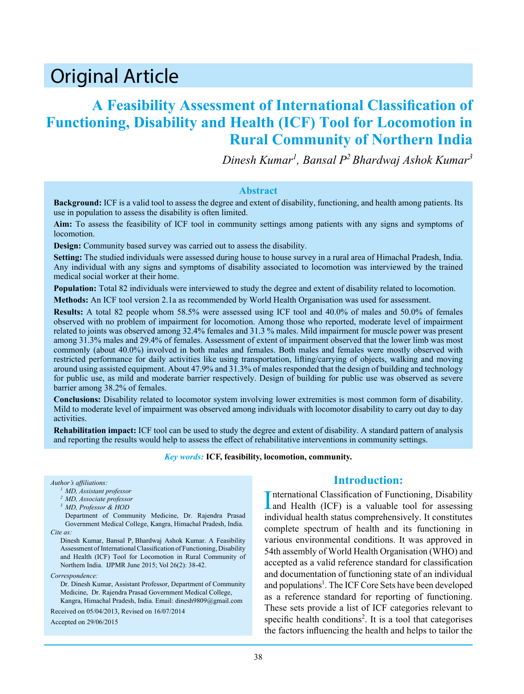# Original Article

## **A Feasibility Assessment of International Classification of Functioning, Disability and Health (ICF) Tool for Locomotion in Rural Community of Northern India**

*Dinesh Kumar<sup>1</sup> , Bansal P<sup>2</sup>Bhardwaj Ashok Kumar<sup>3</sup>*

#### **Abstract**

**Background:** ICF is a valid tool to assess the degree and extent of disability, functioning, and health among patients. Its use in population to assess the disability is often limited.

**Aim:** To assess the feasibility of ICF tool in community settings among patients with any signs and symptoms of locomotion.

**Design:** Community based survey was carried out to assess the disability.

**Setting:** The studied individuals were assessed during house to house survey in a rural area of Himachal Pradesh, India. Any individual with any signs and symptoms of disability associated to locomotion was interviewed by the trained medical social worker at their home.

**Population:** Total 82 individuals were interviewed to study the degree and extent of disability related to locomotion.

**Methods:** An ICF tool version 2.1a as recommended by World Health Organisation was used for assessment.

**Results:** A total 82 people whom 58.5% were assessed using ICF tool and 40.0% of males and 50.0% of females observed with no problem of impairment for locomotion. Among those who reported, moderate level of impairment related to joints was observed among 32.4% females and 31.3 % males. Mild impairment for muscle power was present among 31.3% males and 29.4% of females. Assessment of extent of impairment observed that the lower limb was most commonly (about 40.0%) involved in both males and females. Both males and females were mostly observed with restricted performance for daily activities like using transportation, lifting/carrying of objects, walking and moving around using assisted equipment. About 47.9% and 31.3% of males responded that the design of building and technology for public use, as mild and moderate barrier respectively. Design of building for public use was observed as severe barrier among 38.2% of females.

**Conclusions:** Disability related to locomotor system involving lower extremities is most common form of disability. Mild to moderate level of impairment was observed among individuals with locomotor disability to carry out day to day activities.

**Rehabilitation impact:** ICF tool can be used to study the degree and extent of disability. A standard pattern of analysis and reporting the results would help to assess the effect of rehabilitative interventions in community settings.

*Key words:* **ICF, feasibility, locomotion, community.**

#### *Author's affiliations:*

*<sup>1</sup> MD, Assistant professor*

- *<sup>2</sup> MD, Associate professor*
- *<sup>3</sup> MD, Professor & HOD*

Department of Community Medicine, Dr. Rajendra Prasad Government Medical College, Kangra, Himachal Pradesh, India. *Cite as:*

Dinesh Kumar, Bansal P, Bhardwaj Ashok Kumar. A Feasibility Assessment of International Classification of Functioning, Disability and Health (ICF) Tool for Locomotion in Rural Community of Northern India. IJPMR June 2015; Vol 26(2): 38-42.

*Correspondence:*

Dr. Dinesh Kumar, Assistant Professor, Department of Community Medicine, Dr. Rajendra Prasad Government Medical College, Kangra, Himachal Pradesh, India. Email: dinesh9809@gmail.com

Received on 05/04/2013, Revised on 16/07/2014

Accepted on 29/06/2015

## **Introduction:**

International Classification of Functioning, Disability<br>and Health (ICF) is a valuable tool for assessing nternational Classification of Functioning, Disability individual health status comprehensively. It constitutes complete spectrum of health and its functioning in various environmental conditions. It was approved in 54th assembly of World Health Organisation (WHO) and accepted as a valid reference standard for classification and documentation of functioning state of an individual and populations<sup>1</sup>. The ICF Core Sets have been developed as a reference standard for reporting of functioning. These sets provide a list of ICF categories relevant to specific health conditions<sup>2</sup>. It is a tool that categorises the factors influencing the health and helps to tailor the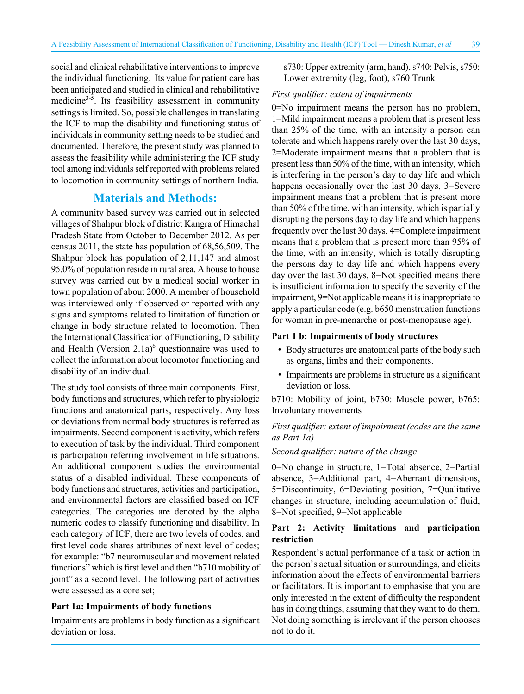social and clinical rehabilitative interventions to improve the individual functioning. Its value for patient care has been anticipated and studied in clinical and rehabilitative medicine<sup>3-5</sup>. Its feasibility assessment in community settings is limited. So, possible challenges in translating the ICF to map the disability and functioning status of individuals in community setting needs to be studied and documented. Therefore, the present study was planned to assess the feasibility while administering the ICF study tool among individuals self reported with problems related to locomotion in community settings of northern India.

## **Materials and Methods:**

A community based survey was carried out in selected villages of Shahpur block of district Kangra of Himachal Pradesh State from October to December 2012. As per census 2011, the state has population of 68,56,509. The Shahpur block has population of 2,11,147 and almost 95.0% of population reside in rural area. A house to house survey was carried out by a medical social worker in town population of about 2000. A member of household was interviewed only if observed or reported with any signs and symptoms related to limitation of function or change in body structure related to locomotion. Then the International Classification of Functioning, Disability and Health (Version  $2.1a$ )<sup>6</sup> questionnaire was used to collect the information about locomotor functioning and disability of an individual.

The study tool consists of three main components. First, body functions and structures, which refer to physiologic functions and anatomical parts, respectively. Any loss or deviations from normal body structures is referred as impairments. Second component is activity, which refers to execution of task by the individual. Third component is participation referring involvement in life situations. An additional component studies the environmental status of a disabled individual. These components of body functions and structures, activities and participation, and environmental factors are classified based on ICF categories. The categories are denoted by the alpha numeric codes to classify functioning and disability. In each category of ICF, there are two levels of codes, and first level code shares attributes of next level of codes; for example: "b7 neuromuscular and movement related functions" which is first level and then "b710 mobility of joint" as a second level. The following part of activities were assessed as a core set;

#### **Part 1a: Impairments of body functions**

Impairments are problems in body function as a significant deviation or loss.

s730: Upper extremity (arm, hand), s740: Pelvis, s750: Lower extremity (leg, foot), s760 Trunk

#### *First qualifier: extent of impairments*

0=No impairment means the person has no problem, 1=Mild impairment means a problem that is present less than 25% of the time, with an intensity a person can tolerate and which happens rarely over the last 30 days, 2=Moderate impairment means that a problem that is present less than 50% of the time, with an intensity, which is interfering in the person's day to day life and which happens occasionally over the last 30 days, 3=Severe impairment means that a problem that is present more than 50% of the time, with an intensity, which is partially disrupting the persons day to day life and which happens frequently over the last 30 days, 4=Complete impairment means that a problem that is present more than 95% of the time, with an intensity, which is totally disrupting the persons day to day life and which happens every day over the last 30 days, 8=Not specified means there is insufficient information to specify the severity of the impairment, 9=Not applicable means it is inappropriate to apply a particular code (e.g. b650 menstruation functions for woman in pre-menarche or post-menopause age).

#### **Part 1 b: Impairments of body structures**

- Body structures are anatomical parts of the body such as organs, limbs and their components.
- Impairments are problems in structure as a significant deviation or loss.

b710: Mobility of joint, b730: Muscle power, b765: Involuntary movements

## *First qualifier: extent of impairment (codes are the same as Part 1a)*

*Second qualifier: nature of the change* 

0=No change in structure, 1=Total absence, 2=Partial absence, 3=Additional part, 4=Aberrant dimensions, 5=Discontinuity, 6=Deviating position, 7=Qualitative changes in structure, including accumulation of fluid, 8=Not specified, 9=Not applicable

### **Part 2: Activity limitations and participation restriction**

Respondent's actual performance of a task or action in the person's actual situation or surroundings, and elicits information about the effects of environmental barriers or facilitators. It is important to emphasise that you are only interested in the extent of difficulty the respondent has in doing things, assuming that they want to do them. Not doing something is irrelevant if the person chooses not to do it.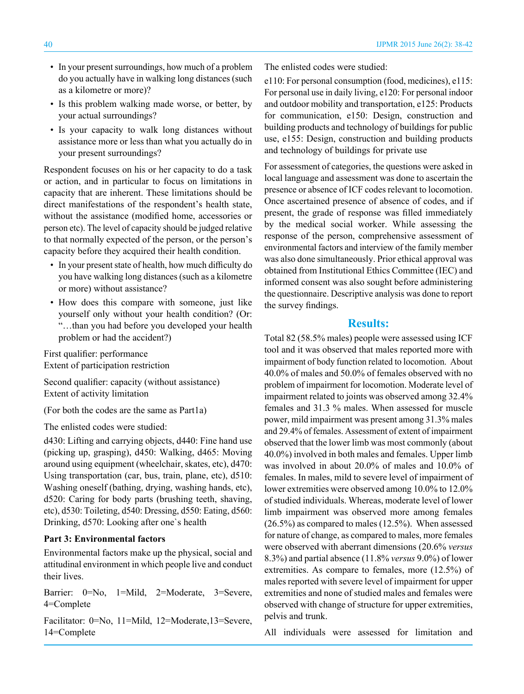- In your present surroundings, how much of a problem do you actually have in walking long distances (such as a kilometre or more)?
- Is this problem walking made worse, or better, by your actual surroundings?
- Is your capacity to walk long distances without assistance more or less than what you actually do in your present surroundings?

Respondent focuses on his or her capacity to do a task or action, and in particular to focus on limitations in capacity that are inherent. These limitations should be direct manifestations of the respondent's health state, without the assistance (modified home, accessories or person etc). The level of capacity should be judged relative to that normally expected of the person, or the person's capacity before they acquired their health condition.

- In your present state of health, how much difficulty do you have walking long distances (such as a kilometre or more) without assistance?
- How does this compare with someone, just like yourself only without your health condition? (Or: "…than you had before you developed your health problem or had the accident?)

First qualifier: performance Extent of participation restriction

Second qualifier: capacity (without assistance) Extent of activity limitation

(For both the codes are the same as Part1a)

The enlisted codes were studied:

d430: Lifting and carrying objects, d440: Fine hand use (picking up, grasping), d450: Walking, d465: Moving around using equipment (wheelchair, skates, etc), d470: Using transportation (car, bus, train, plane, etc), d510: Washing oneself (bathing, drying, washing hands, etc), d520: Caring for body parts (brushing teeth, shaving, etc), d530: Toileting, d540: Dressing, d550: Eating, d560: Drinking, d570: Looking after one`s health

#### **Part 3: Environmental factors**

Environmental factors make up the physical, social and attitudinal environment in which people live and conduct their lives.

Barrier: 0=No, 1=Mild, 2=Moderate, 3=Severe, 4=Complete

Facilitator: 0=No, 11=Mild, 12=Moderate,13=Severe, 14=Complete

The enlisted codes were studied:

e110: For personal consumption (food, medicines), e115: For personal use in daily living, e120: For personal indoor and outdoor mobility and transportation, e125: Products for communication, e150: Design, construction and building products and technology of buildings for public use, e155: Design, construction and building products and technology of buildings for private use

For assessment of categories, the questions were asked in local language and assessment was done to ascertain the presence or absence of ICF codes relevant to locomotion. Once ascertained presence of absence of codes, and if present, the grade of response was filled immediately by the medical social worker. While assessing the response of the person, comprehensive assessment of environmental factors and interview of the family member was also done simultaneously. Prior ethical approval was obtained from Institutional Ethics Committee (IEC) and informed consent was also sought before administering the questionnaire. Descriptive analysis was done to report the survey findings.

## **Results:**

Total 82 (58.5% males) people were assessed using ICF tool and it was observed that males reported more with impairment of body function related to locomotion. About 40.0% of males and 50.0% of females observed with no problem of impairment for locomotion. Moderate level of impairment related to joints was observed among 32.4% females and 31.3 % males. When assessed for muscle power, mild impairment was present among 31.3% males and 29.4% of females. Assessment of extent of impairment observed that the lower limb was most commonly (about 40.0%) involved in both males and females. Upper limb was involved in about 20.0% of males and 10.0% of females. In males, mild to severe level of impairment of lower extremities were observed among 10.0% to 12.0% of studied individuals. Whereas, moderate level of lower limb impairment was observed more among females (26.5%) as compared to males (12.5%). When assessed for nature of change, as compared to males, more females were observed with aberrant dimensions (20.6% *versus* 8.3%) and partial absence (11.8% *versus* 9.0%) of lower extremities. As compare to females, more (12.5%) of males reported with severe level of impairment for upper extremities and none of studied males and females were observed with change of structure for upper extremities, pelvis and trunk.

All individuals were assessed for limitation and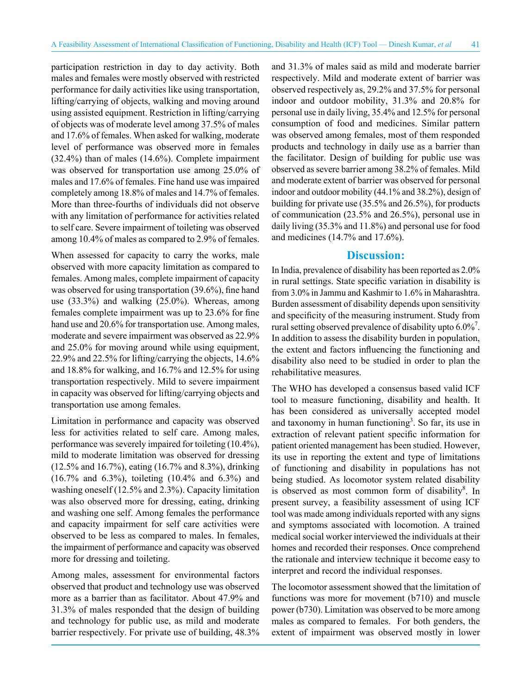participation restriction in day to day activity. Both males and females were mostly observed with restricted performance for daily activities like using transportation, lifting/carrying of objects, walking and moving around using assisted equipment. Restriction in lifting/carrying of objects was of moderate level among 37.5% of males and 17.6% of females. When asked for walking, moderate level of performance was observed more in females (32.4%) than of males (14.6%). Complete impairment was observed for transportation use among 25.0% of males and 17.6% of females. Fine hand use was impaired completely among 18.8% of males and 14.7% of females. More than three-fourths of individuals did not observe with any limitation of performance for activities related to self care. Severe impairment of toileting was observed among 10.4% of males as compared to 2.9% of females.

When assessed for capacity to carry the works, male observed with more capacity limitation as compared to females. Among males, complete impairment of capacity was observed for using transportation (39.6%), fine hand use (33.3%) and walking (25.0%). Whereas, among females complete impairment was up to 23.6% for fine hand use and 20.6% for transportation use. Among males, moderate and severe impairment was observed as 22.9% and 25.0% for moving around while using equipment, 22.9% and 22.5% for lifting/carrying the objects, 14.6% and 18.8% for walking, and 16.7% and 12.5% for using transportation respectively. Mild to severe impairment in capacity was observed for lifting/carrying objects and transportation use among females.

Limitation in performance and capacity was observed less for activities related to self care. Among males, performance was severely impaired for toileting (10.4%), mild to moderate limitation was observed for dressing (12.5% and 16.7%), eating (16.7% and 8.3%), drinking (16.7% and 6.3%), toileting (10.4% and 6.3%) and washing oneself (12.5% and 2.3%). Capacity limitation was also observed more for dressing, eating, drinking and washing one self. Among females the performance and capacity impairment for self care activities were observed to be less as compared to males. In females, the impairment of performance and capacity was observed more for dressing and toileting.

Among males, assessment for environmental factors observed that product and technology use was observed more as a barrier than as facilitator. About 47.9% and 31.3% of males responded that the design of building and technology for public use, as mild and moderate barrier respectively. For private use of building, 48.3% and 31.3% of males said as mild and moderate barrier respectively. Mild and moderate extent of barrier was observed respectively as, 29.2% and 37.5% for personal indoor and outdoor mobility, 31.3% and 20.8% for personal use in daily living, 35.4% and 12.5% for personal consumption of food and medicines. Similar pattern was observed among females, most of them responded products and technology in daily use as a barrier than the facilitator. Design of building for public use was observed as severe barrier among 38.2% of females. Mild and moderate extent of barrier was observed for personal indoor and outdoor mobility (44.1% and 38.2%), design of building for private use (35.5% and 26.5%), for products of communication (23.5% and 26.5%), personal use in daily living (35.3% and 11.8%) and personal use for food and medicines (14.7% and 17.6%).

## **Discussion:**

In India, prevalence of disability has been reported as 2.0% in rural settings. State specific variation in disability is from 3.0% in Jammu and Kashmir to 1.6% in Maharashtra. Burden assessment of disability depends upon sensitivity and specificity of the measuring instrument. Study from rural setting observed prevalence of disability upto  $6.0\%$ <sup>7</sup>. In addition to assess the disability burden in population, the extent and factors influencing the functioning and disability also need to be studied in order to plan the rehabilitative measures.

The WHO has developed a consensus based valid ICF tool to measure functioning, disability and health. It has been considered as universally accepted model and taxonomy in human functioning<sup>3</sup>. So far, its use in extraction of relevant patient specific information for patient oriented management has been studied. However, its use in reporting the extent and type of limitations of functioning and disability in populations has not being studied. As locomotor system related disability is observed as most common form of disability<sup>8</sup>. In present survey, a feasibility assessment of using ICF tool was made among individuals reported with any signs and symptoms associated with locomotion. A trained medical social worker interviewed the individuals at their homes and recorded their responses. Once comprehend the rationale and interview technique it become easy to interpret and record the individual responses.

The locomotor assessment showed that the limitation of functions was more for movement (b710) and muscle power (b730). Limitation was observed to be more among males as compared to females. For both genders, the extent of impairment was observed mostly in lower